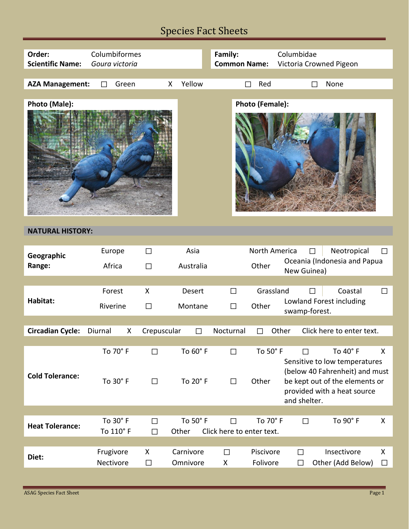### Species Fact Sheets

| Order:                  | Columbiformes  |              |   |           | Family:                |               | Columbidae                                  |         |  |  |  |  |
|-------------------------|----------------|--------------|---|-----------|------------------------|---------------|---------------------------------------------|---------|--|--|--|--|
| <b>Scientific Name:</b> | Goura victoria |              |   |           | <b>Common Name:</b>    |               | Victoria Crowned Pigeon                     |         |  |  |  |  |
|                         |                |              |   |           |                        |               |                                             |         |  |  |  |  |
| <b>AZA Management:</b>  | П              | Green        | X | Yellow    |                        | Red           | None<br>П                                   |         |  |  |  |  |
|                         |                |              |   |           |                        |               |                                             |         |  |  |  |  |
| Photo (Male):           |                |              |   |           | <b>Photo (Female):</b> |               |                                             |         |  |  |  |  |
|                         |                |              |   |           |                        |               |                                             |         |  |  |  |  |
| <b>NATURAL HISTORY:</b> |                |              |   |           |                        |               |                                             |         |  |  |  |  |
|                         |                |              |   |           |                        |               |                                             |         |  |  |  |  |
| Geographic              | Europe         | $\Box$       |   | Asia      |                        | North America | Neotropical<br>П                            | $\perp$ |  |  |  |  |
| Range:                  | Africa         | $\Box$       |   | Australia |                        | Other         | Oceania (Indonesia and Papua<br>New Guinea) |         |  |  |  |  |
|                         |                |              |   |           |                        |               |                                             |         |  |  |  |  |
|                         | Forest         | $\mathsf{X}$ |   | Desert    | П                      | Grassland     | Coastal<br>$\Box$                           |         |  |  |  |  |
| Habitat:                | ntere atas     | −            |   | $A -$     |                        |               | Lowland Forest including                    |         |  |  |  |  |

| Habitat:                | Forest<br>Riverine                 |  | X<br>$\Box$ | <b>Desert</b><br>Montane   |   | П<br>П                                     | Grassland<br>Other       |       |                   | Coastal<br>П<br>Lowland Forest including<br>swamp-forest. |                                                                                                                                              | П      |
|-------------------------|------------------------------------|--|-------------|----------------------------|---|--------------------------------------------|--------------------------|-------|-------------------|-----------------------------------------------------------|----------------------------------------------------------------------------------------------------------------------------------------------|--------|
|                         |                                    |  |             |                            |   |                                            |                          |       |                   |                                                           |                                                                                                                                              |        |
| <b>Circadian Cycle:</b> | Diurnal<br>X                       |  | Crepuscular |                            | П | Nocturnal                                  | П                        | Other |                   |                                                           | Click here to enter text.                                                                                                                    |        |
|                         |                                    |  |             |                            |   |                                            |                          |       |                   |                                                           |                                                                                                                                              |        |
| <b>Cold Tolerance:</b>  | To $70^\circ$ F<br>To $30^\circ$ F |  | П<br>П      | To 60° F<br>To 20° F       |   | П<br>П                                     | To $50^\circ$ F<br>Other |       | П<br>and shelter. |                                                           | To 40° F<br>Sensitive to low temperatures<br>(below 40 Fahrenheit) and must<br>be kept out of the elements or<br>provided with a heat source | X      |
|                         |                                    |  |             |                            |   |                                            |                          |       |                   |                                                           |                                                                                                                                              |        |
| <b>Heat Tolerance:</b>  | To $30^\circ$ F<br>To 110°F        |  | П<br>П      | To 50 $\degree$ F<br>Other |   | To 70° F<br>П<br>Click here to enter text. |                          |       | П                 |                                                           | To $90^\circ$ F                                                                                                                              | X      |
|                         |                                    |  |             |                            |   |                                            |                          |       |                   |                                                           |                                                                                                                                              |        |
| Diet:                   | Frugivore<br>Nectivore             |  | X<br>П      | Carnivore<br>Omnivore      |   | П<br>X                                     | Piscivore<br>Folivore    |       | П<br>П            |                                                           | Insectivore<br>Other (Add Below)                                                                                                             | X<br>П |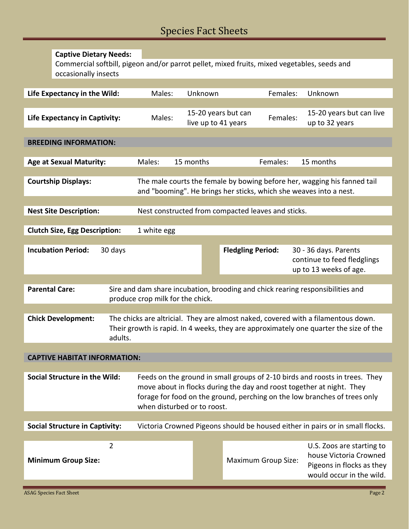# Species Fact Sheets

|                                                                     | <b>Captive Dietary Needs:</b>                                                                                       |         |                                                    |           |                                                                                                                                                                                                                                   |                                                                                                                                                                            |                                                                                                                                                |  |  |
|---------------------------------------------------------------------|---------------------------------------------------------------------------------------------------------------------|---------|----------------------------------------------------|-----------|-----------------------------------------------------------------------------------------------------------------------------------------------------------------------------------------------------------------------------------|----------------------------------------------------------------------------------------------------------------------------------------------------------------------------|------------------------------------------------------------------------------------------------------------------------------------------------|--|--|
|                                                                     | Commercial softbill, pigeon and/or parrot pellet, mixed fruits, mixed vegetables, seeds and<br>occasionally insects |         |                                                    |           |                                                                                                                                                                                                                                   |                                                                                                                                                                            |                                                                                                                                                |  |  |
|                                                                     |                                                                                                                     |         |                                                    |           |                                                                                                                                                                                                                                   |                                                                                                                                                                            |                                                                                                                                                |  |  |
|                                                                     | Life Expectancy in the Wild:                                                                                        |         | Males:                                             | Unknown   |                                                                                                                                                                                                                                   | Females:                                                                                                                                                                   | Unknown                                                                                                                                        |  |  |
|                                                                     |                                                                                                                     |         |                                                    |           |                                                                                                                                                                                                                                   |                                                                                                                                                                            |                                                                                                                                                |  |  |
|                                                                     | Life Expectancy in Captivity:                                                                                       |         | Males:                                             |           | 15-20 years but can<br>live up to 41 years                                                                                                                                                                                        |                                                                                                                                                                            | 15-20 years but can live<br>Females:<br>up to 32 years                                                                                         |  |  |
| <b>BREEDING INFORMATION:</b>                                        |                                                                                                                     |         |                                                    |           |                                                                                                                                                                                                                                   |                                                                                                                                                                            |                                                                                                                                                |  |  |
|                                                                     |                                                                                                                     |         |                                                    |           |                                                                                                                                                                                                                                   | Females:                                                                                                                                                                   |                                                                                                                                                |  |  |
|                                                                     | <b>Age at Sexual Maturity:</b>                                                                                      |         | Males:                                             | 15 months |                                                                                                                                                                                                                                   |                                                                                                                                                                            | 15 months                                                                                                                                      |  |  |
|                                                                     |                                                                                                                     |         |                                                    |           |                                                                                                                                                                                                                                   |                                                                                                                                                                            |                                                                                                                                                |  |  |
|                                                                     | <b>Courtship Displays:</b>                                                                                          |         |                                                    |           |                                                                                                                                                                                                                                   |                                                                                                                                                                            | The male courts the female by bowing before her, wagging his fanned tail<br>and "booming". He brings her sticks, which she weaves into a nest. |  |  |
|                                                                     |                                                                                                                     |         |                                                    |           |                                                                                                                                                                                                                                   |                                                                                                                                                                            |                                                                                                                                                |  |  |
|                                                                     | <b>Nest Site Description:</b>                                                                                       |         | Nest constructed from compacted leaves and sticks. |           |                                                                                                                                                                                                                                   |                                                                                                                                                                            |                                                                                                                                                |  |  |
|                                                                     |                                                                                                                     |         |                                                    |           |                                                                                                                                                                                                                                   |                                                                                                                                                                            |                                                                                                                                                |  |  |
|                                                                     | <b>Clutch Size, Egg Description:</b>                                                                                |         | 1 white egg                                        |           |                                                                                                                                                                                                                                   |                                                                                                                                                                            |                                                                                                                                                |  |  |
|                                                                     |                                                                                                                     |         |                                                    |           |                                                                                                                                                                                                                                   |                                                                                                                                                                            |                                                                                                                                                |  |  |
|                                                                     | <b>Incubation Period:</b>                                                                                           | 30 days |                                                    |           | <b>Fledgling Period:</b>                                                                                                                                                                                                          |                                                                                                                                                                            | 30 - 36 days. Parents<br>continue to feed fledglings<br>up to 13 weeks of age.                                                                 |  |  |
|                                                                     |                                                                                                                     |         |                                                    |           |                                                                                                                                                                                                                                   |                                                                                                                                                                            |                                                                                                                                                |  |  |
|                                                                     | <b>Parental Care:</b>                                                                                               |         | produce crop milk for the chick.                   |           |                                                                                                                                                                                                                                   |                                                                                                                                                                            | Sire and dam share incubation, brooding and chick rearing responsibilities and                                                                 |  |  |
|                                                                     |                                                                                                                     |         |                                                    |           |                                                                                                                                                                                                                                   |                                                                                                                                                                            |                                                                                                                                                |  |  |
| <b>Chick Development:</b><br>adults.                                |                                                                                                                     |         |                                                    |           |                                                                                                                                                                                                                                   | The chicks are altricial. They are almost naked, covered with a filamentous down.<br>Their growth is rapid. In 4 weeks, they are approximately one quarter the size of the |                                                                                                                                                |  |  |
|                                                                     |                                                                                                                     |         |                                                    |           |                                                                                                                                                                                                                                   |                                                                                                                                                                            |                                                                                                                                                |  |  |
|                                                                     | <b>CAPTIVE HABITAT INFORMATION:</b>                                                                                 |         |                                                    |           |                                                                                                                                                                                                                                   |                                                                                                                                                                            |                                                                                                                                                |  |  |
|                                                                     |                                                                                                                     |         |                                                    |           |                                                                                                                                                                                                                                   |                                                                                                                                                                            |                                                                                                                                                |  |  |
| <b>Social Structure in the Wild:</b><br>when disturbed or to roost. |                                                                                                                     |         |                                                    |           | Feeds on the ground in small groups of 2-10 birds and roosts in trees. They<br>move about in flocks during the day and roost together at night. They<br>forage for food on the ground, perching on the low branches of trees only |                                                                                                                                                                            |                                                                                                                                                |  |  |
|                                                                     | <b>Social Structure in Captivity:</b>                                                                               |         |                                                    |           |                                                                                                                                                                                                                                   |                                                                                                                                                                            | Victoria Crowned Pigeons should be housed either in pairs or in small flocks.                                                                  |  |  |
|                                                                     |                                                                                                                     |         |                                                    |           |                                                                                                                                                                                                                                   |                                                                                                                                                                            |                                                                                                                                                |  |  |
|                                                                     | <b>Minimum Group Size:</b>                                                                                          | 2       |                                                    |           |                                                                                                                                                                                                                                   | <b>Maximum Group Size:</b>                                                                                                                                                 | U.S. Zoos are starting to<br>house Victoria Crowned<br>Pigeons in flocks as they                                                               |  |  |
|                                                                     |                                                                                                                     |         |                                                    |           |                                                                                                                                                                                                                                   |                                                                                                                                                                            | would occur in the wild.                                                                                                                       |  |  |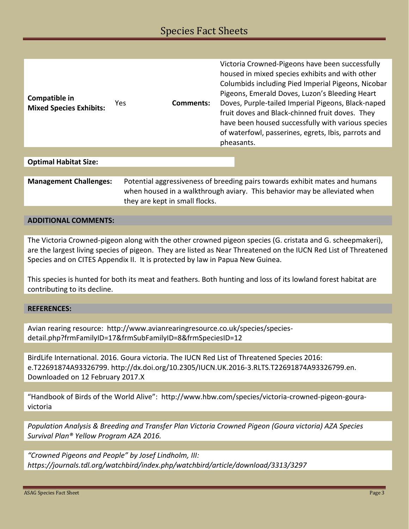| Compatible in<br><b>Mixed Species Exhibits:</b> | Yes. | Comments: | Victoria Crowned-Pigeons have been successfully<br>housed in mixed species exhibits and with other<br>Columbids including Pied Imperial Pigeons, Nicobar<br>Pigeons, Emerald Doves, Luzon's Bleeding Heart<br>Doves, Purple-tailed Imperial Pigeons, Black-naped<br>fruit doves and Black-chinned fruit doves. They<br>have been housed successfully with various species<br>of waterfowl, passerines, egrets, Ibis, parrots and<br>pheasants. |
|-------------------------------------------------|------|-----------|------------------------------------------------------------------------------------------------------------------------------------------------------------------------------------------------------------------------------------------------------------------------------------------------------------------------------------------------------------------------------------------------------------------------------------------------|
|                                                 |      |           |                                                                                                                                                                                                                                                                                                                                                                                                                                                |

#### **Optimal Habitat Size:**

| <b>Management Challenges:</b> | Potential aggressiveness of breeding pairs towards exhibit mates and humans |  |  |  |  |  |
|-------------------------------|-----------------------------------------------------------------------------|--|--|--|--|--|
|                               | when housed in a walkthrough aviary. This behavior may be alleviated when   |  |  |  |  |  |
|                               | they are kept in small flocks.                                              |  |  |  |  |  |

#### **ADDITIONAL COMMENTS:**

The Victoria Crowned-pigeon along with the other crowned pigeon species (G. cristata and G. scheepmakeri), are the largest living species of pigeon. They are listed as Near Threatened on the IUCN Red List of Threatened Species and on CITES Appendix II. It is protected by law in Papua New Guinea.

This species is hunted for both its meat and feathers. Both hunting and loss of its lowland forest habitat are contributing to its decline.

#### **REFERENCES:**

Avian rearing resource: http://www.avianrearingresource.co.uk/species/speciesdetail.php?frmFamilyID=17&frmSubFamilyID=8&frmSpeciesID=12

BirdLife International. 2016. Goura victoria. The IUCN Red List of Threatened Species 2016: e.T22691874A93326799. http://dx.doi.org/10.2305/IUCN.UK.2016-3.RLTS.T22691874A93326799.en. Downloaded on 12 February 2017.X

"Handbook of Birds of the World Alive": http://www.hbw.com/species/victoria-crowned-pigeon-gouravictoria

*Population Analysis & Breeding and Transfer Plan Victoria Crowned Pigeon (Goura victoria) AZA Species Survival Plan® Yellow Program AZA 2016.*

*"Crowned Pigeons and People" by Josef Lindholm, III: https://journals.tdl.org/watchbird/index.php/watchbird/article/download/3313/3297*